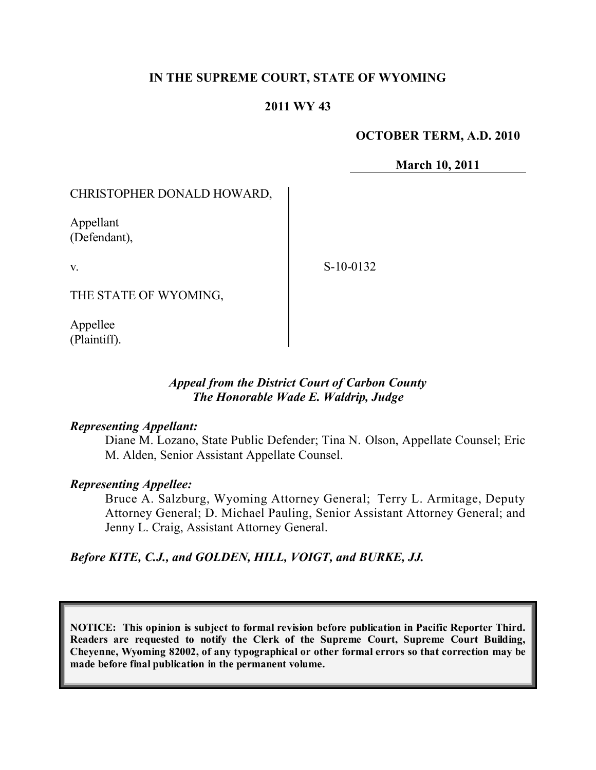# **IN THE SUPREME COURT, STATE OF WYOMING**

## **2011 WY 43**

#### **OCTOBER TERM, A.D. 2010**

**March 10, 2011**

## CHRISTOPHER DONALD HOWARD,

Appellant (Defendant),

v.

S-10-0132

THE STATE OF WYOMING,

Appellee (Plaintiff).

## *Appeal from the District Court of Carbon County The Honorable Wade E. Waldrip, Judge*

#### *Representing Appellant:*

Diane M. Lozano, State Public Defender; Tina N. Olson, Appellate Counsel; Eric M. Alden, Senior Assistant Appellate Counsel.

#### *Representing Appellee:*

Bruce A. Salzburg, Wyoming Attorney General; Terry L. Armitage, Deputy Attorney General; D. Michael Pauling, Senior Assistant Attorney General; and Jenny L. Craig, Assistant Attorney General.

*Before KITE, C.J., and GOLDEN, HILL, VOIGT, and BURKE, JJ.*

**NOTICE: This opinion is subject to formal revision before publication in Pacific Reporter Third. Readers are requested to notify the Clerk of the Supreme Court, Supreme Court Building, Cheyenne, Wyoming 82002, of any typographical or other formal errors so that correction may be made before final publication in the permanent volume.**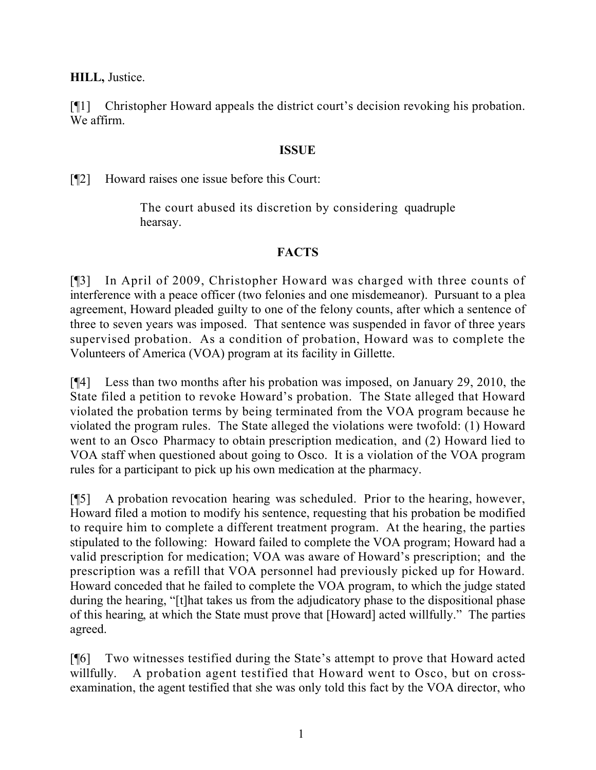**HILL,** Justice.

[¶1] Christopher Howard appeals the district court's decision revoking his probation. We affirm.

# **ISSUE**

[¶2] Howard raises one issue before this Court:

The court abused its discretion by considering quadruple hearsay.

# **FACTS**

[¶3] In April of 2009, Christopher Howard was charged with three counts of interference with a peace officer (two felonies and one misdemeanor). Pursuant to a plea agreement, Howard pleaded guilty to one of the felony counts, after which a sentence of three to seven years was imposed. That sentence was suspended in favor of three years supervised probation. As a condition of probation, Howard was to complete the Volunteers of America (VOA) program at its facility in Gillette.

[¶4] Less than two months after his probation was imposed, on January 29, 2010, the State filed a petition to revoke Howard's probation. The State alleged that Howard violated the probation terms by being terminated from the VOA program because he violated the program rules. The State alleged the violations were twofold: (1) Howard went to an Osco Pharmacy to obtain prescription medication, and (2) Howard lied to VOA staff when questioned about going to Osco. It is a violation of the VOA program rules for a participant to pick up his own medication at the pharmacy.

[¶5] A probation revocation hearing was scheduled. Prior to the hearing, however, Howard filed a motion to modify his sentence, requesting that his probation be modified to require him to complete a different treatment program. At the hearing, the parties stipulated to the following: Howard failed to complete the VOA program; Howard had a valid prescription for medication; VOA was aware of Howard's prescription; and the prescription was a refill that VOA personnel had previously picked up for Howard. Howard conceded that he failed to complete the VOA program, to which the judge stated during the hearing, "[t]hat takes us from the adjudicatory phase to the dispositional phase of this hearing, at which the State must prove that [Howard] acted willfully." The parties agreed.

[¶6] Two witnesses testified during the State's attempt to prove that Howard acted willfully. A probation agent testified that Howard went to Osco, but on crossexamination, the agent testified that she was only told this fact by the VOA director, who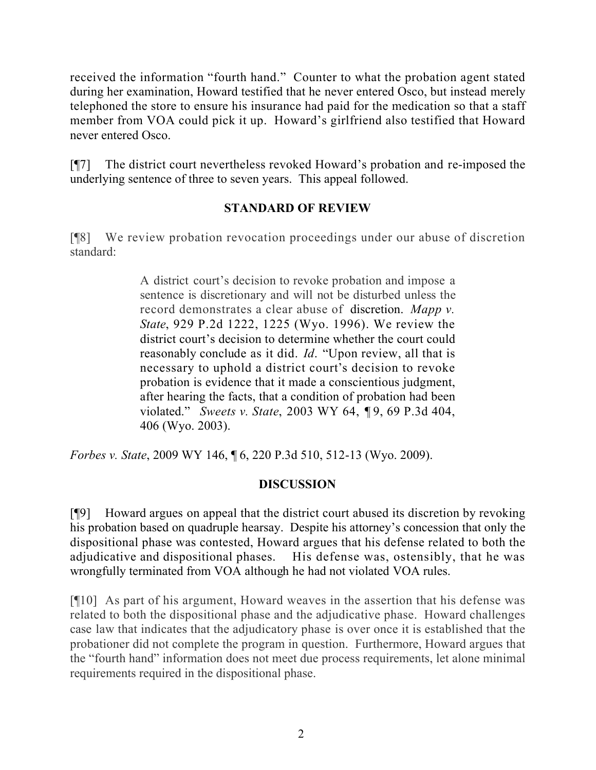received the information "fourth hand." Counter to what the probation agent stated during her examination, Howard testified that he never entered Osco, but instead merely telephoned the store to ensure his insurance had paid for the medication so that a staff member from VOA could pick it up. Howard's girlfriend also testified that Howard never entered Osco.

[¶7] The district court nevertheless revoked Howard's probation and re-imposed the underlying sentence of three to seven years. This appeal followed.

# **STANDARD OF REVIEW**

[¶8] We review probation revocation proceedings under our abuse of discretion standard:

> A district court's decision to revoke probation and impose a sentence is discretionary and will not be disturbed unless the record demonstrates a clear abuse of discretion. *Mapp v. State*, 929 P.2d 1222, 1225 (Wyo. 1996). We review the district court's decision to determine whether the court could reasonably conclude as it did. *Id*. "Upon review, all that is necessary to uphold a district court's decision to revoke probation is evidence that it made a conscientious judgment, after hearing the facts, that a condition of probation had been violated." *Sweets v. State*, 2003 WY 64, ¶ 9, 69 P.3d 404, 406 (Wyo. 2003).

*Forbes v. State*, 2009 WY 146, ¶ 6, 220 P.3d 510, 512-13 (Wyo. 2009).

# **DISCUSSION**

[¶9] Howard argues on appeal that the district court abused its discretion by revoking his probation based on quadruple hearsay. Despite his attorney's concession that only the dispositional phase was contested, Howard argues that his defense related to both the adjudicative and dispositional phases. His defense was, ostensibly, that he was wrongfully terminated from VOA although he had not violated VOA rules.

[¶10] As part of his argument, Howard weaves in the assertion that his defense was related to both the dispositional phase and the adjudicative phase. Howard challenges case law that indicates that the adjudicatory phase is over once it is established that the probationer did not complete the program in question. Furthermore, Howard argues that the "fourth hand" information does not meet due process requirements, let alone minimal requirements required in the dispositional phase.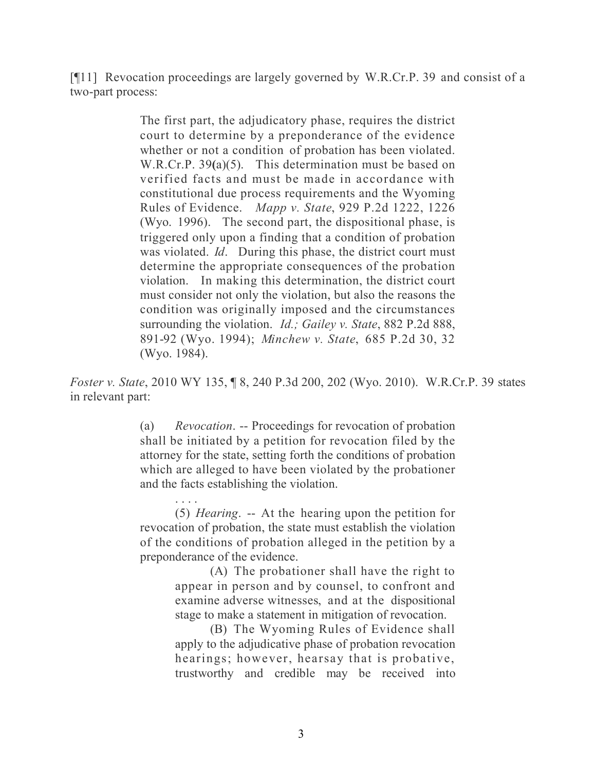[¶11] Revocation proceedings are largely governed by W.R.Cr.P. 39 and consist of a two-part process:

> The first part, the adjudicatory phase, requires the district court to determine by a preponderance of the evidence whether or not a condition of probation has been violated. W.R.Cr.P. 39**(**a)(5). This determination must be based on verified facts and must be made in accordance with constitutional due process requirements and the Wyoming Rules of Evidence. *Mapp v. State*, 929 P.2d 1222, 1226 (Wyo. 1996). The second part, the dispositional phase, is triggered only upon a finding that a condition of probation was violated. *Id*. During this phase, the district court must determine the appropriate consequences of the probation violation. In making this determination, the district court must consider not only the violation, but also the reasons the condition was originally imposed and the circumstances surrounding the violation. *Id.; Gailey v. State*, 882 P.2d 888, 891-92 (Wyo. 1994); *Minchew v. State*, 685 P.2d 30, 32 (Wyo. 1984).

*Foster v. State*, 2010 WY 135, ¶ 8, 240 P.3d 200, 202 (Wyo. 2010).W.R.Cr.P. 39 states in relevant part:

> (a) *Revocation*. -- Proceedings for revocation of probation shall be initiated by a petition for revocation filed by the attorney for the state, setting forth the conditions of probation which are alleged to have been violated by the probationer and the facts establishing the violation.

> . . . . (5) *Hearing*. -- At the hearing upon the petition for revocation of probation, the state must establish the violation of the conditions of probation alleged in the petition by a preponderance of the evidence.

> > (A) The probationer shall have the right to appear in person and by counsel, to confront and examine adverse witnesses, and at the dispositional stage to make a statement in mitigation of revocation.

> > (B) The Wyoming Rules of Evidence shall apply to the adjudicative phase of probation revocation hearings; however, hearsay that is probative, trustworthy and credible may be received into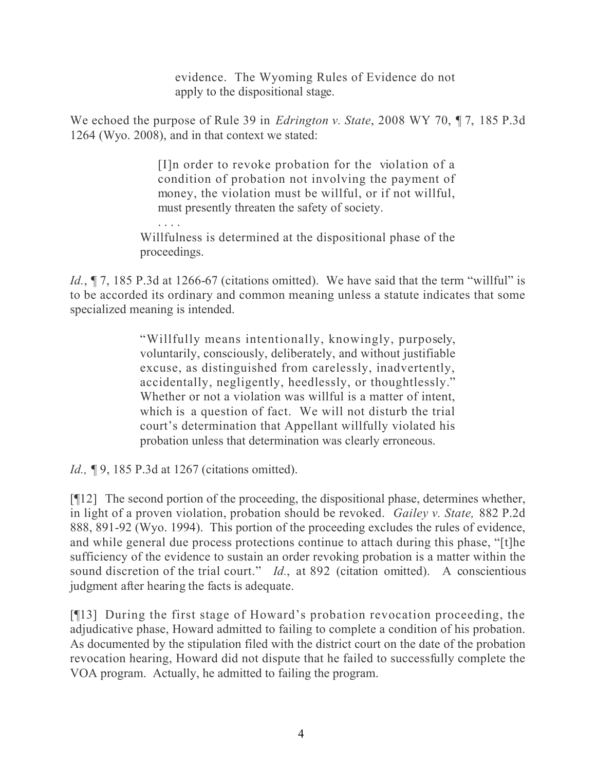evidence. The Wyoming Rules of Evidence do not apply to the dispositional stage.

We echoed the purpose of Rule 39 in *Edrington v. State*, 2008 WY 70, ¶ 7, 185 P.3d 1264 (Wyo. 2008), and in that context we stated:

> [I]n order to revoke probation for the violation of a condition of probation not involving the payment of money, the violation must be willful, or if not willful, must presently threaten the safety of society.

. . . . Willfulness is determined at the dispositional phase of the proceedings.

*Id.*,  $\P$  7, 185 P.3d at 1266-67 (citations omitted). We have said that the term "willful" is to be accorded its ordinary and common meaning unless a statute indicates that some specialized meaning is intended.

> "Willfully means intentionally, knowingly, purposely, voluntarily, consciously, deliberately, and without justifiable excuse, as distinguished from carelessly, inadvertently, accidentally, negligently, heedlessly, or thoughtlessly." Whether or not a violation was willful is a matter of intent. which is a question of fact. We will not disturb the trial court's determination that Appellant willfully violated his probation unless that determination was clearly erroneous.

*Id.*, **[9, 185 P.3d at 1267 (citations omitted).** 

[¶12] The second portion of the proceeding, the dispositional phase, determines whether, in light of a proven violation, probation should be revoked. *Gailey v. State,* 882 P.2d 888, 891-92 (Wyo. 1994). This portion of the proceeding excludes the rules of evidence, and while general due process protections continue to attach during this phase, "[t]he sufficiency of the evidence to sustain an order revoking probation is a matter within the sound discretion of the trial court." *Id.*, at 892 (citation omitted). A conscientious judgment after hearing the facts is adequate.

[¶13] During the first stage of Howard's probation revocation proceeding, the adjudicative phase, Howard admitted to failing to complete a condition of his probation. As documented by the stipulation filed with the district court on the date of the probation revocation hearing, Howard did not dispute that he failed to successfully complete the VOA program. Actually, he admitted to failing the program.